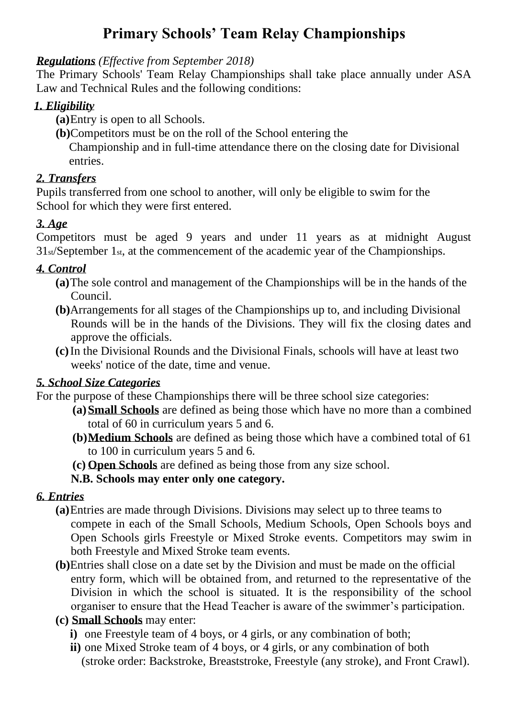# **Primary Schools' Team Relay Championships**

#### *Regulations (Effective from September 2018)*

The Primary Schools' Team Relay Championships shall take place annually under ASA Law and Technical Rules and the following conditions:

#### *1. Eligibility*

- **(a)**Entry is open to all Schools.
- **(b)**Competitors must be on the roll of the School entering the

 Championship and in full-time attendance there on the closing date for Divisional entries.

#### *2. Transfers*

Pupils transferred from one school to another, will only be eligible to swim for the School for which they were first entered.

### *3. Age*

Competitors must be aged 9 years and under 11 years as at midnight August 31st/September 1st, at the commencement of the academic year of the Championships.

### *4. Control*

- **(a)**The sole control and management of the Championships will be in the hands of the Council.
- **(b)**Arrangements for all stages of the Championships up to, and including Divisional Rounds will be in the hands of the Divisions. They will fix the closing dates and approve the officials.
- **(c)**In the Divisional Rounds and the Divisional Finals, schools will have at least two weeks' notice of the date, time and venue.

#### *5. School Size Categories*

For the purpose of these Championships there will be three school size categories:

- **(a)Small Schools** are defined as being those which have no more than a combined total of 60 in curriculum years 5 and 6.
- **(b)Medium Schools** are defined as being those which have a combined total of 61 to 100 in curriculum years 5 and 6.
- **(c) Open Schools** are defined as being those from any size school.

#### **N.B. Schools may enter only one category.**

### *6. Entries*

- **(a)**Entries are made through Divisions. Divisions may select up to three teams to compete in each of the Small Schools, Medium Schools, Open Schools boys and Open Schools girls Freestyle or Mixed Stroke events. Competitors may swim in both Freestyle and Mixed Stroke team events.
- **(b)**Entries shall close on a date set by the Division and must be made on the official entry form, which will be obtained from, and returned to the representative of the Division in which the school is situated. It is the responsibility of the school organiser to ensure that the Head Teacher is aware of the swimmer's participation.

### **(c) Small Schools** may enter:

- **i**) one Freestyle team of 4 boys, or 4 girls, or any combination of both;
- **ii**) one Mixed Stroke team of 4 boys, or 4 girls, or any combination of both (stroke order: Backstroke, Breaststroke, Freestyle (any stroke), and Front Crawl).